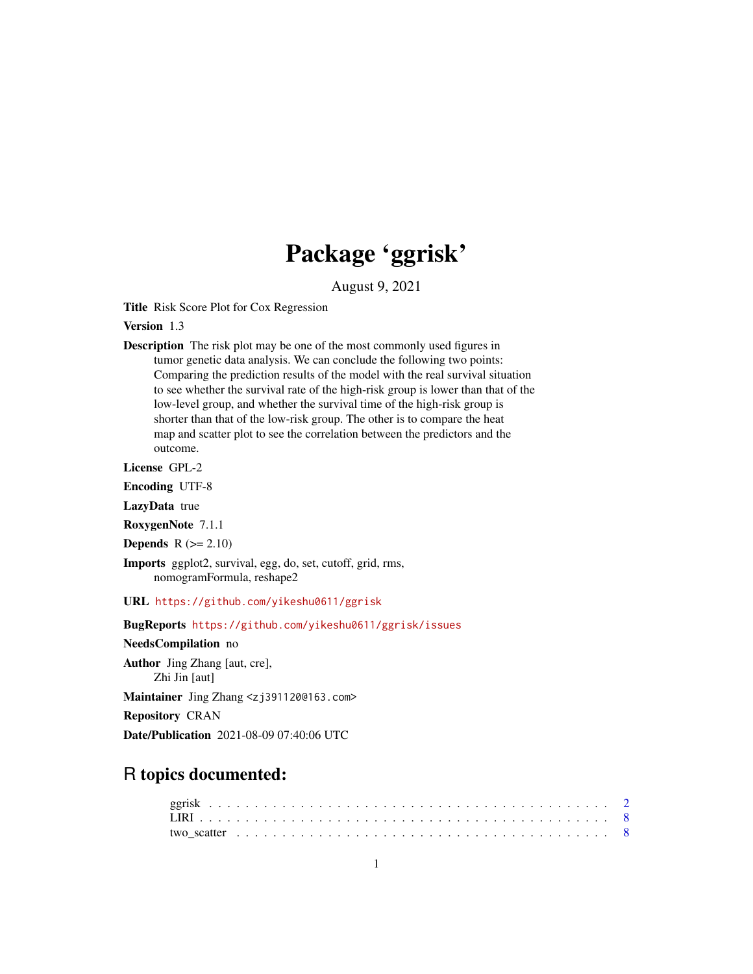# Package 'ggrisk'

August 9, 2021

Title Risk Score Plot for Cox Regression

Version 1.3

Description The risk plot may be one of the most commonly used figures in tumor genetic data analysis. We can conclude the following two points: Comparing the prediction results of the model with the real survival situation to see whether the survival rate of the high-risk group is lower than that of the low-level group, and whether the survival time of the high-risk group is shorter than that of the low-risk group. The other is to compare the heat map and scatter plot to see the correlation between the predictors and the outcome.

License GPL-2

Encoding UTF-8

LazyData true

RoxygenNote 7.1.1

**Depends**  $R$  ( $>= 2.10$ )

Imports ggplot2, survival, egg, do, set, cutoff, grid, rms, nomogramFormula, reshape2

URL <https://github.com/yikeshu0611/ggrisk>

BugReports <https://github.com/yikeshu0611/ggrisk/issues>

NeedsCompilation no

Author Jing Zhang [aut, cre], Zhi Jin [aut]

Maintainer Jing Zhang <zj391120@163.com>

Repository CRAN

Date/Publication 2021-08-09 07:40:06 UTC

## R topics documented: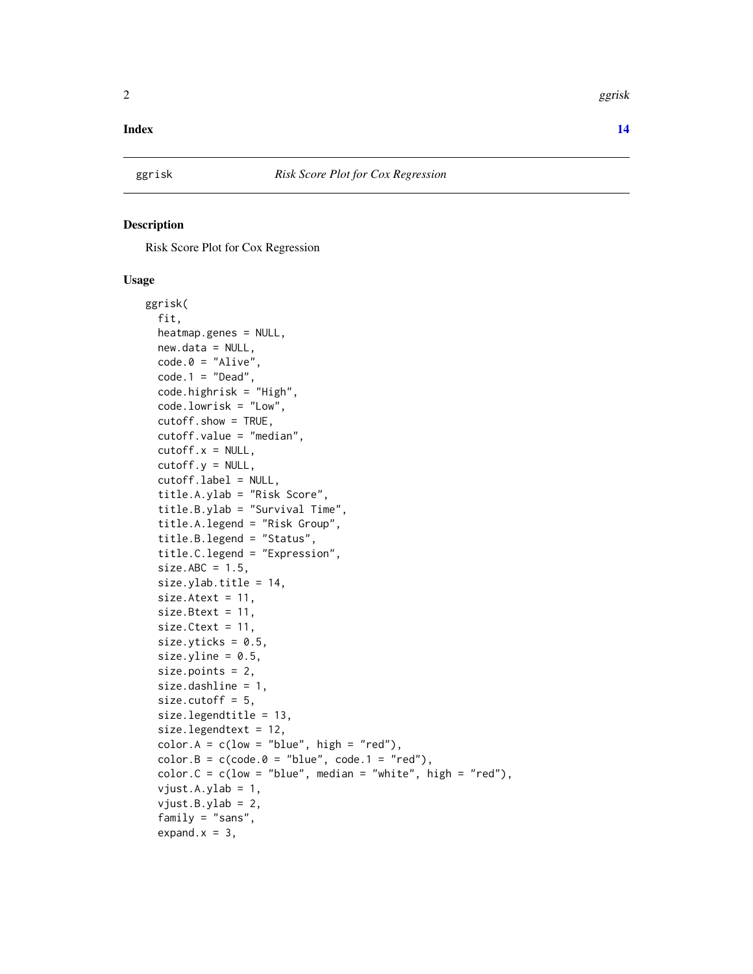#### <span id="page-1-0"></span>**Index** 2008 **[14](#page-13-0)**

#### Description

Risk Score Plot for Cox Regression

#### Usage

```
ggrisk(
  fit,
 heatmap.genes = NULL,
 new.data = NULL,code.0 = "Alive",code.1 = "Dead",code.highrisk = "High",
 code.lowrisk = "Low",
  cutoff.show = TRUE,
  cutoff.value = "median",
  cutoff.x = NULL,cutoff.y = NULL,
  cutoff.label = NULL,
  title.A.ylab = "Risk Score",
  title.B.ylab = "Survival Time",
  title.A.legend = "Risk Group",
  title.B.legend = "Status",
  title.C.legend = "Expression",
  size.ABC = 1.5,
  size.ylab.title = 14,
  size.Atext = 11,size.Btext = 11,
  size.Ctext = 11,
  size.yticks = 0.5,
  size.yline = 0.5,
  size.points = 2,
  size.dashline = 1,
  size.cutoff = 5,
  size.legendtitle = 13,
  size.legendtext = 12,
  color.A = c(low = "blue", high = "red"),color.B = c(code.B = "blue", code.1 = "red"),color.C = c(low = "blue", median = "white", high = "red"),vjust.A.ylab = 1,
  vjust.B.ylab = 2,family = "sans",
  expand.x = 3,
```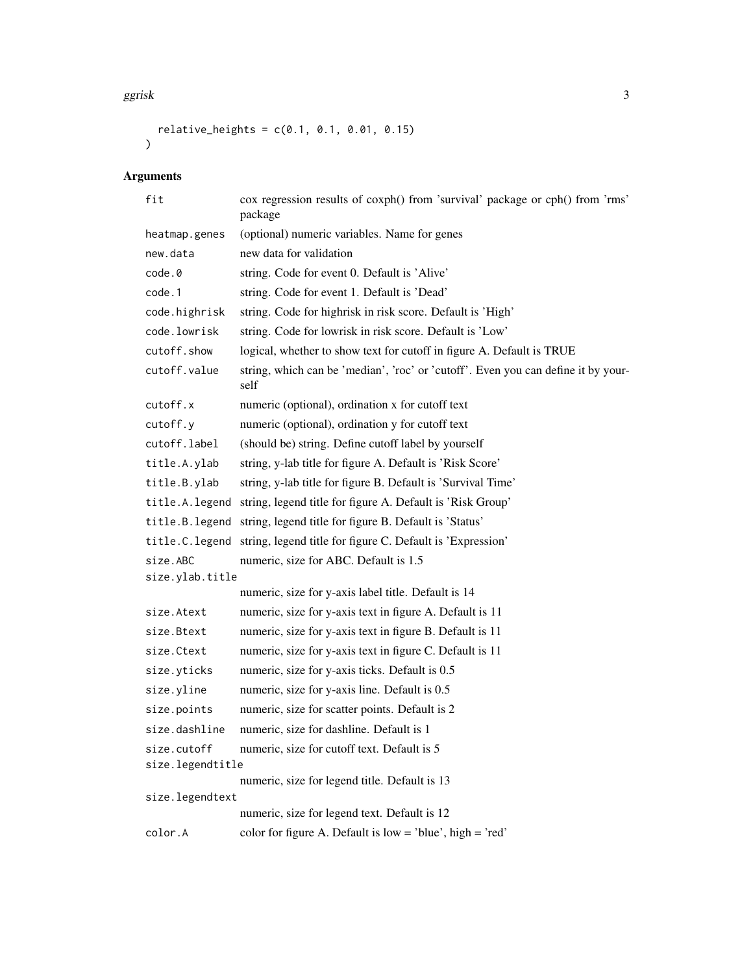```
relative\_heights = c(0.1, 0.1, 0.01, 0.15)\mathcal{L}
```
## Arguments

| fit              | cox regression results of coxph() from 'survival' package or cph() from 'rms'<br>package  |
|------------------|-------------------------------------------------------------------------------------------|
| heatmap.genes    | (optional) numeric variables. Name for genes                                              |
| new.data         | new data for validation                                                                   |
| code.0           | string. Code for event 0. Default is 'Alive'                                              |
| code.1           | string. Code for event 1. Default is 'Dead'                                               |
| code.highrisk    | string. Code for highrisk in risk score. Default is 'High'                                |
| code.lowrisk     | string. Code for lowrisk in risk score. Default is 'Low'                                  |
| cutoff.show      | logical, whether to show text for cutoff in figure A. Default is TRUE                     |
| cutoff.value     | string, which can be 'median', 'roc' or 'cutoff'. Even you can define it by your-<br>self |
| cutoff.x         | numeric (optional), ordination x for cutoff text                                          |
| cutoff.y         | numeric (optional), ordination y for cutoff text                                          |
| cutoff.label     | (should be) string. Define cutoff label by yourself                                       |
| title.A.ylab     | string, y-lab title for figure A. Default is 'Risk Score'                                 |
| title.B.ylab     | string, y-lab title for figure B. Default is 'Survival Time'                              |
| title.A.legend   | string, legend title for figure A. Default is 'Risk Group'                                |
| title.B.legend   | string, legend title for figure B. Default is 'Status'                                    |
| title.C.legend   | string, legend title for figure C. Default is 'Expression'                                |
| size.ABC         | numeric, size for ABC. Default is 1.5                                                     |
| size.ylab.title  |                                                                                           |
|                  | numeric, size for y-axis label title. Default is 14                                       |
| size.Atext       | numeric, size for y-axis text in figure A. Default is 11                                  |
| size.Btext       | numeric, size for y-axis text in figure B. Default is 11                                  |
| size.Ctext       | numeric, size for y-axis text in figure C. Default is 11                                  |
| size.yticks      | numeric, size for y-axis ticks. Default is 0.5                                            |
| size.yline       | numeric, size for y-axis line. Default is 0.5                                             |
| size.points      | numeric, size for scatter points. Default is 2                                            |
| size.dashline    | numeric, size for dashline. Default is 1                                                  |
| size.cutoff      | numeric, size for cutoff text. Default is 5                                               |
| size.legendtitle | numeric, size for legend title. Default is 13                                             |
| size.legendtext  |                                                                                           |
|                  | numeric, size for legend text. Default is 12                                              |
| color.A          | color for figure A. Default is $low = 'blue', high = 'red'$                               |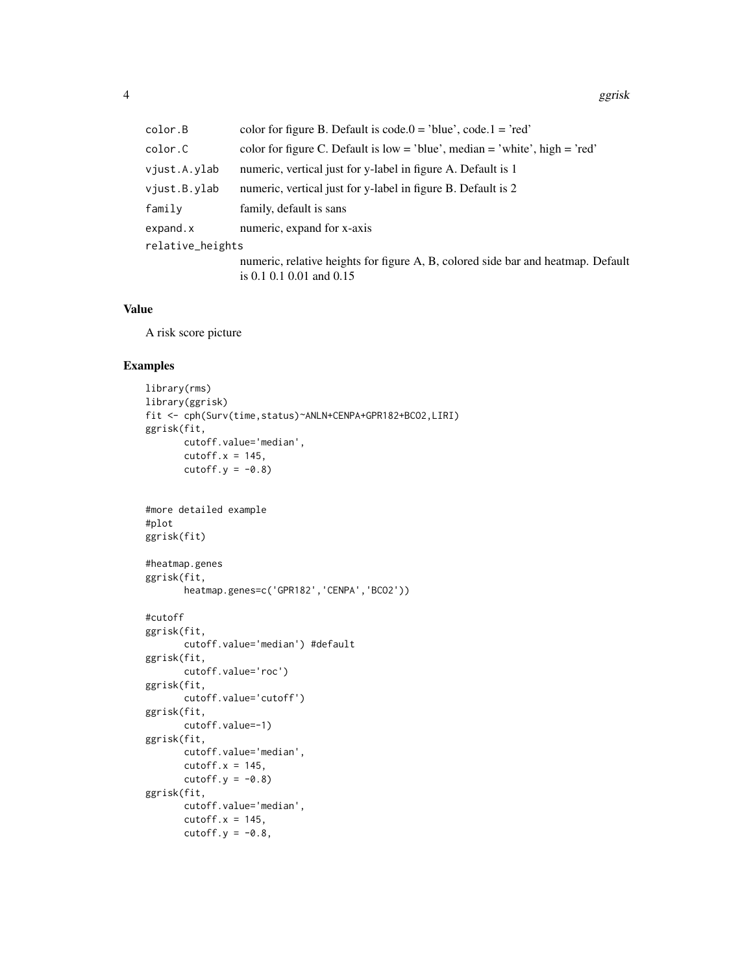| color.B          | color for figure B. Default is code. $0 =$ 'blue', code. $1 =$ 'red'             |
|------------------|----------------------------------------------------------------------------------|
| color.C          | color for figure C. Default is low = 'blue', median = 'white', high = 'red'      |
| vjust.A.ylab     | numeric, vertical just for y-label in figure A. Default is 1                     |
| viust.B.ylab     | numeric, vertical just for y-label in figure B. Default is 2                     |
| family           | family, default is sans                                                          |
| expand.x         | numeric, expand for x-axis                                                       |
| relative_heights |                                                                                  |
|                  | numeric, relative heights for figure A, B, colored side bar and heatmap. Default |
|                  | is $0.1$ $0.1$ $0.01$ and $0.15$                                                 |

#### Value

A risk score picture

#### Examples

```
library(rms)
library(ggrisk)
fit <- cph(Surv(time,status)~ANLN+CENPA+GPR182+BCO2,LIRI)
ggrisk(fit,
      cutoff.value='median',
      cutoff.x = 145,
      cutoff.y = -0.8)
#more detailed example
#plot
ggrisk(fit)
#heatmap.genes
ggrisk(fit,
      heatmap.genes=c('GPR182','CENPA','BCO2'))
#cutoff
ggrisk(fit,
       cutoff.value='median') #default
ggrisk(fit,
      cutoff.value='roc')
ggrisk(fit,
      cutoff.value='cutoff')
ggrisk(fit,
      cutoff.value=-1)
ggrisk(fit,
      cutoff.value='median',
       cutoff.x = 145,cutoff.y = -0.8)
ggrisk(fit,
      cutoff.value='median',
       cutoff.x = 145,
      cutoff.y = -0.8,
```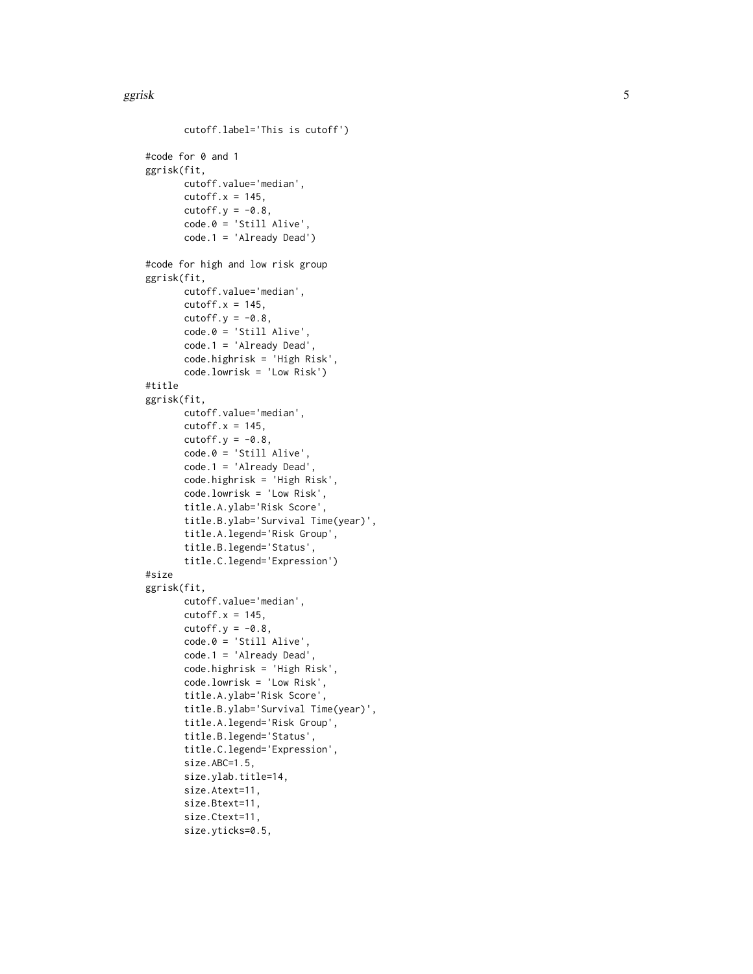```
cutoff.label='This is cutoff')
#code for 0 and 1
ggrisk(fit,
       cutoff.value='median',
       cutoff.x = 145,
       cutoff.y = -0.8,
       code.0 = 'Still Alive',
       code.1 = 'Already Dead')
#code for high and low risk group
ggrisk(fit,
       cutoff.value='median',
       cutoff.x = 145,cutoff.y = -0.8,
       code.0 = 'Still Alive',
       code.1 = 'Already Dead',
       code.highrisk = 'High Risk',
       code.lowrisk = 'Low Risk')
#title
ggrisk(fit,
      cutoff.value='median',
       cutoff.x = 145,cutoff.y = -0.8,
       code.0 = 'Still Alive',
       code.1 = 'Already Dead',
       code.highrisk = 'High Risk',
       code.lowrisk = 'Low Risk',
       title.A.ylab='Risk Score',
       title.B.ylab='Survival Time(year)',
       title.A.legend='Risk Group',
       title.B.legend='Status',
       title.C.legend='Expression')
#size
ggrisk(fit,
       cutoff.value='median',
       cutoff.x = 145,cutoff.y = -0.8,
       code.0 = 'Still Alive',
       code.1 = 'Already Dead',
       code.highrisk = 'High Risk',
       code.lowrisk = 'Low Risk',
       title.A.ylab='Risk Score',
       title.B.ylab='Survival Time(year)',
       title.A.legend='Risk Group',
       title.B.legend='Status',
       title.C.legend='Expression',
       size.ABC=1.5,
       size.ylab.title=14,
       size.Atext=11,
       size.Btext=11,
       size.Ctext=11,
       size.yticks=0.5,
```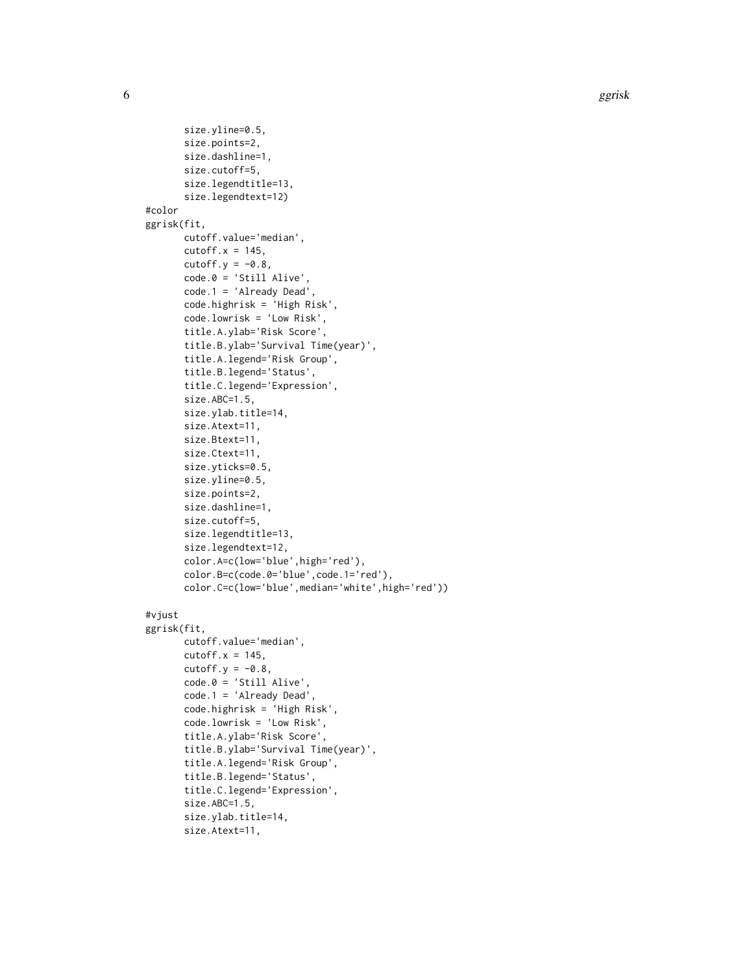6 ggrisk op de eerste koning van de gemeente van de gemeente van de gemeente van de gemeente van de gemeente v

```
size.yline=0.5,
       size.points=2,
       size.dashline=1,
       size.cutoff=5,
       size.legendtitle=13,
       size.legendtext=12)
#color
ggrisk(fit,
       cutoff.value='median',
       cutoff.x = 145,cutoff.y = -0.8,
       code.0 = 'Still Alive',
       code.1 = 'Already Dead',
       code.highrisk = 'High Risk',
       code.lowrisk = 'Low Risk',
       title.A.ylab='Risk Score',
       title.B.ylab='Survival Time(year)',
       title.A.legend='Risk Group',
       title.B.legend='Status',
       title.C.legend='Expression',
       size.ABC=1.5,
       size.ylab.title=14,
       size.Atext=11,
       size.Btext=11,
       size.Ctext=11,
       size.yticks=0.5,
       size.yline=0.5,
       size.points=2,
       size.dashline=1,
       size.cutoff=5,
       size.legendtitle=13,
       size.legendtext=12,
       color.A=c(low='blue',high='red'),
       color.B=c(code.0='blue',code.1='red'),
       color.C=c(low='blue',median='white',high='red'))
#vjust
ggrisk(fit,
       cutoff.value='median',
       cutoff.x = 145,cutoff.y = -0.8,
       code.0 = 'Still Alive',
       code.1 = 'Already Dead',
       code.highrisk = 'High Risk',
       code.lowrisk = 'Low Risk',
       title.A.ylab='Risk Score',
       title.B.ylab='Survival Time(year)',
       title.A.legend='Risk Group',
       title.B.legend='Status',
       title.C.legend='Expression',
       size.ABC=1.5,
       size.ylab.title=14,
       size.Atext=11,
```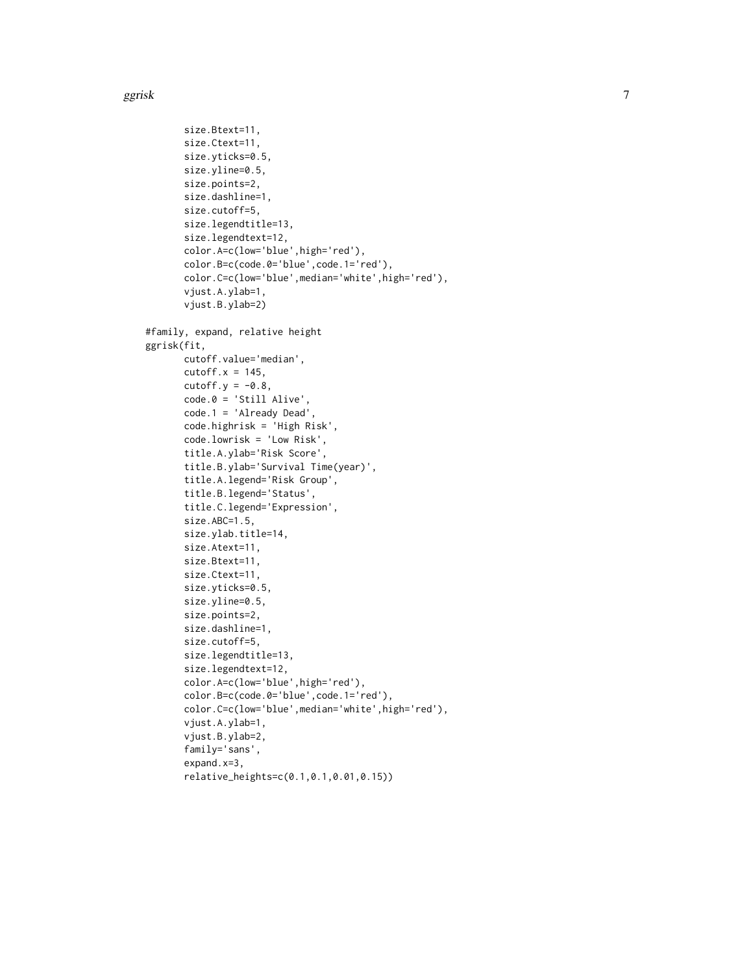```
size.Btext=11,
       size.Ctext=11,
       size.yticks=0.5,
       size.yline=0.5,
       size.points=2,
       size.dashline=1,
       size.cutoff=5,
       size.legendtitle=13,
       size.legendtext=12,
       color.A=c(low='blue',high='red'),
       color.B=c(code.0='blue',code.1='red'),
       color.C=c(low='blue',median='white',high='red'),
       vjust.A.ylab=1,
       vjust.B.ylab=2)
#family, expand, relative height
ggrisk(fit,
       cutoff.value='median',
       cutoff.x = 145,cutoff.y = -0.8,
       code.0 = 'Still Alive',
       code.1 = 'Already Dead',
       code.highrisk = 'High Risk',
       code.lowrisk = 'Low Risk',
       title.A.ylab='Risk Score',
       title.B.ylab='Survival Time(year)',
       title.A.legend='Risk Group',
       title.B.legend='Status',
       title.C.legend='Expression',
       size.ABC=1.5,
       size.ylab.title=14,
       size.Atext=11,
       size.Btext=11,
       size.Ctext=11,
       size.yticks=0.5,
       size.yline=0.5,
       size.points=2,
       size.dashline=1,
       size.cutoff=5,
       size.legendtitle=13,
       size.legendtext=12,
       color.A=c(low='blue',high='red'),
       color.B=c(code.0='blue',code.1='red'),
       color.C=c(low='blue',median='white',high='red'),
       vjust.A.ylab=1,
       vjust.B.ylab=2,
       family='sans',
       expand.x=3,
       relative_heights=c(0.1,0.1,0.01,0.15))
```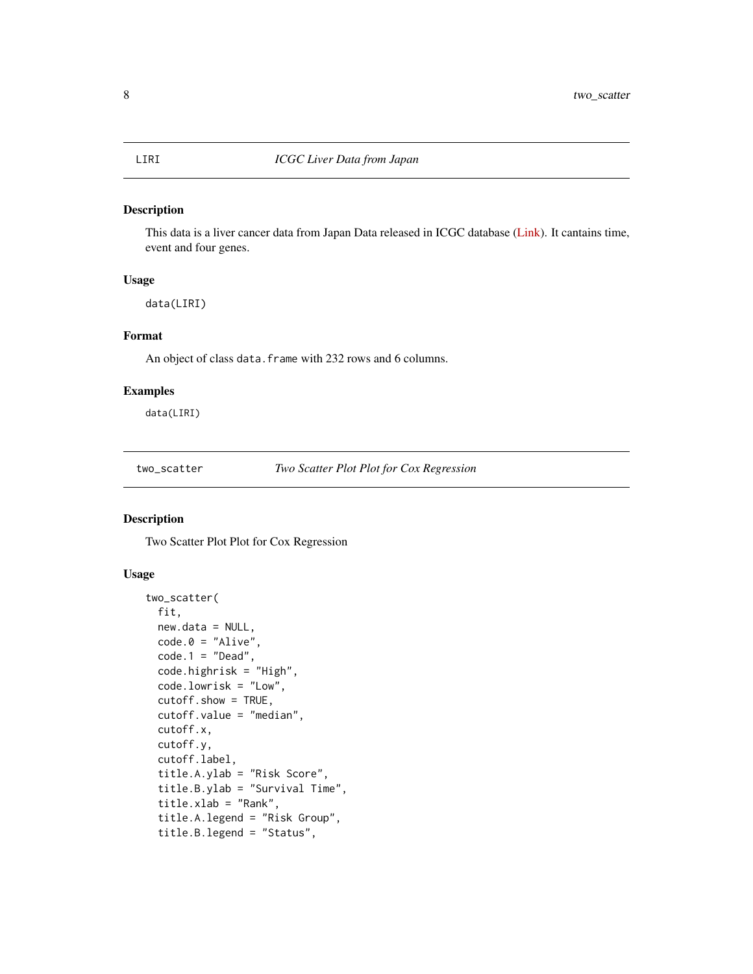#### <span id="page-7-0"></span>Description

This data is a liver cancer data from Japan Data released in ICGC database [\(Link\)](https://dcc.icgc.org/releases/release_24/Projects/LIRI-JP). It cantains time, event and four genes.

#### Usage

data(LIRI)

#### Format

An object of class data. frame with 232 rows and 6 columns.

#### Examples

data(LIRI)

two\_scatter *Two Scatter Plot Plot for Cox Regression*

#### Description

Two Scatter Plot Plot for Cox Regression

#### Usage

```
two_scatter(
  fit,
 new.data = NULL,code.0 = "Alive",code.1 = "Dead",code.highrisk = "High",
 code.lowrisk = "Low",
  cutoff.show = TRUE,
 cutoff.value = "median",
  cutoff.x,
  cutoff.y,
  cutoff.label,
  title.A.ylab = "Risk Score",
  title.B.ylab = "Survival Time",
  title.xlab = "Rank",
  title.A.legend = "Risk Group",
  title.B.legend = "Status",
```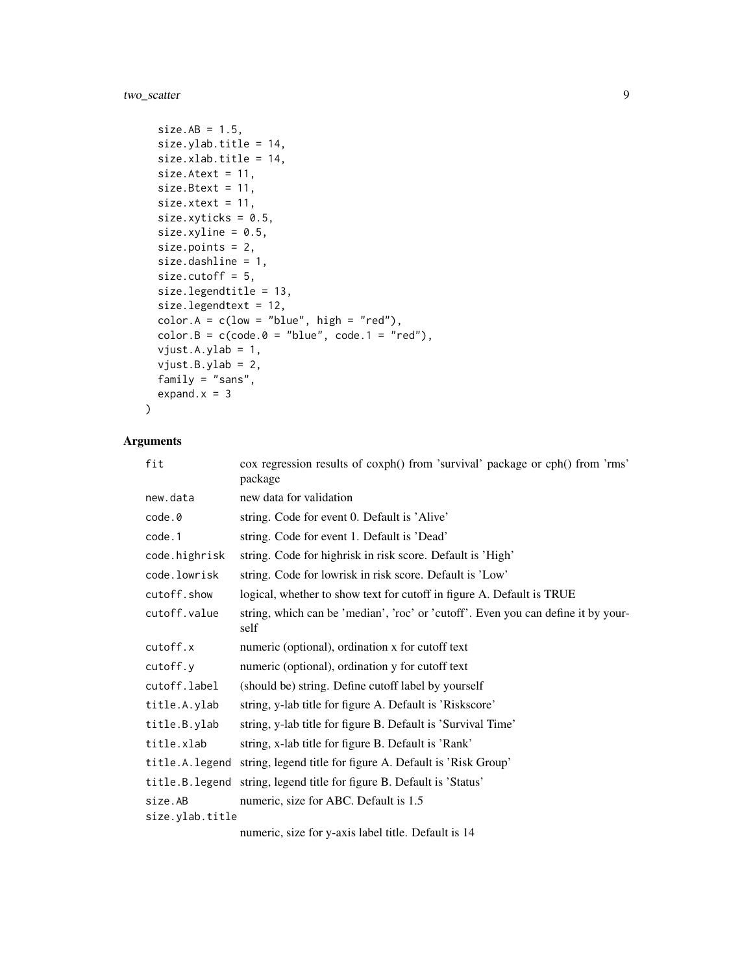two\_scatter 9

```
size.AB = 1.5,
size.ylab.title = 14,
size.xlab.title = 14,
size.Atext = 11,
size. Btext = 11,
size.xtext = 11,
size.xyticks = 0.5,
size.xyline = 0.5,
size.points = 2,
size.dashline = 1,
size.cutoff = 5,
size.legendtitle = 13,
size.legendtext = 12,
color.A = c(low = "blue", high = "red"),color.B = c(code.0 = "blue", code.1 = "red"),
vjust.A.ylab = 1,
vjust.B.ylab = 2,
family = "sans",
expand.x = 3
```
# $\mathcal{L}$

#### Arguments

| fit             | cox regression results of coxph() from 'survival' package or cph() from 'rms'<br>package  |
|-----------------|-------------------------------------------------------------------------------------------|
| new.data        | new data for validation                                                                   |
| code.0          | string. Code for event 0. Default is 'Alive'                                              |
| code.1          | string. Code for event 1. Default is 'Dead'                                               |
| code.highrisk   | string. Code for highrisk in risk score. Default is 'High'                                |
| code.lowrisk    | string. Code for lowrisk in risk score. Default is 'Low'                                  |
| cutoff.show     | logical, whether to show text for cutoff in figure A. Default is TRUE                     |
| cutoff.value    | string, which can be 'median', 'roc' or 'cutoff'. Even you can define it by your-<br>self |
| cutoff.x        | numeric (optional), ordination x for cutoff text                                          |
| cutoff.y        | numeric (optional), ordination y for cutoff text                                          |
| cutoff.label    | (should be) string. Define cutoff label by yourself                                       |
| title.A.ylab    | string, y-lab title for figure A. Default is 'Riskscore'                                  |
| title.B.ylab    | string, y-lab title for figure B. Default is 'Survival Time'                              |
| title.xlab      | string, x-lab title for figure B. Default is 'Rank'                                       |
| title.A.legend  | string, legend title for figure A. Default is 'Risk Group'                                |
|                 | title.B. legend string, legend title for figure B. Default is 'Status'                    |
| size.AB         | numeric, size for ABC. Default is 1.5                                                     |
| size.ylab.title |                                                                                           |
|                 | numeric size for y evis lebel title. Defeult is 14                                        |

numeric, size for y-axis label title. Default is 14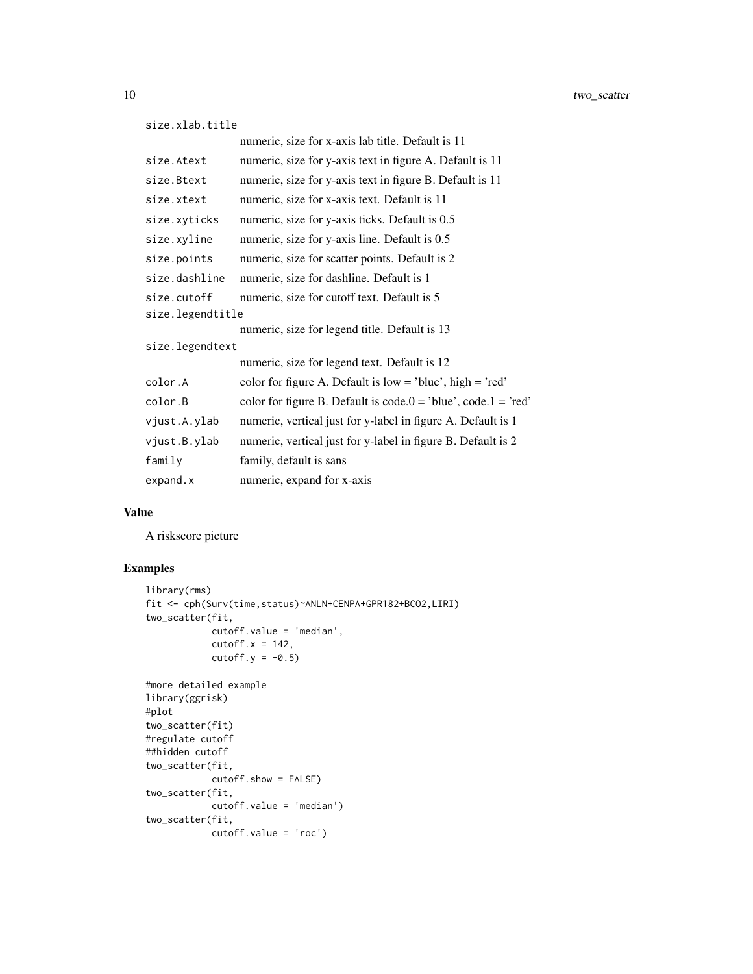```
size.xlab.title
```

|                  | numeric, size for x-axis lab title. Default is 11                |
|------------------|------------------------------------------------------------------|
| size.Atext       | numeric, size for y-axis text in figure A. Default is 11         |
| size.Btext       | numeric, size for y-axis text in figure B. Default is 11         |
| size.xtext       | numeric, size for x-axis text. Default is 11                     |
| size.xyticks     | numeric, size for y-axis ticks. Default is 0.5                   |
| size.xyline      | numeric, size for y-axis line. Default is 0.5                    |
| size.points      | numeric, size for scatter points. Default is 2                   |
| size.dashline    | numeric, size for dashline. Default is 1                         |
| size.cutoff      | numeric, size for cutoff text. Default is 5                      |
| size.legendtitle |                                                                  |
|                  | numeric, size for legend title. Default is 13                    |
| size.legendtext  |                                                                  |
|                  | numeric, size for legend text. Default is 12                     |
| color.A          | color for figure A. Default is $low = 'blue', high = 'red'$      |
| color.B          | color for figure B. Default is $code.0 = 'blue', code.1 = 'red'$ |
| vjust.A.ylab     | numeric, vertical just for y-label in figure A. Default is 1     |
| vjust.B.ylab     | numeric, vertical just for y-label in figure B. Default is 2     |
| family           | family, default is sans                                          |
| expand.x         | numeric, expand for x-axis                                       |

#### Value

A riskscore picture

### Examples

```
library(rms)
fit <- cph(Surv(time,status)~ANLN+CENPA+GPR182+BCO2,LIRI)
two_scatter(fit,
           cutoff.value = 'median',
            cutoff.x = 142,cutoff.y = -0.5)
#more detailed example
library(ggrisk)
#plot
two_scatter(fit)
#regulate cutoff
##hidden cutoff
two_scatter(fit,
           cutoff.show = FALSE)
two_scatter(fit,
           cutoff.value = 'median')
two_scatter(fit,
           cutoff.value = 'roc')
```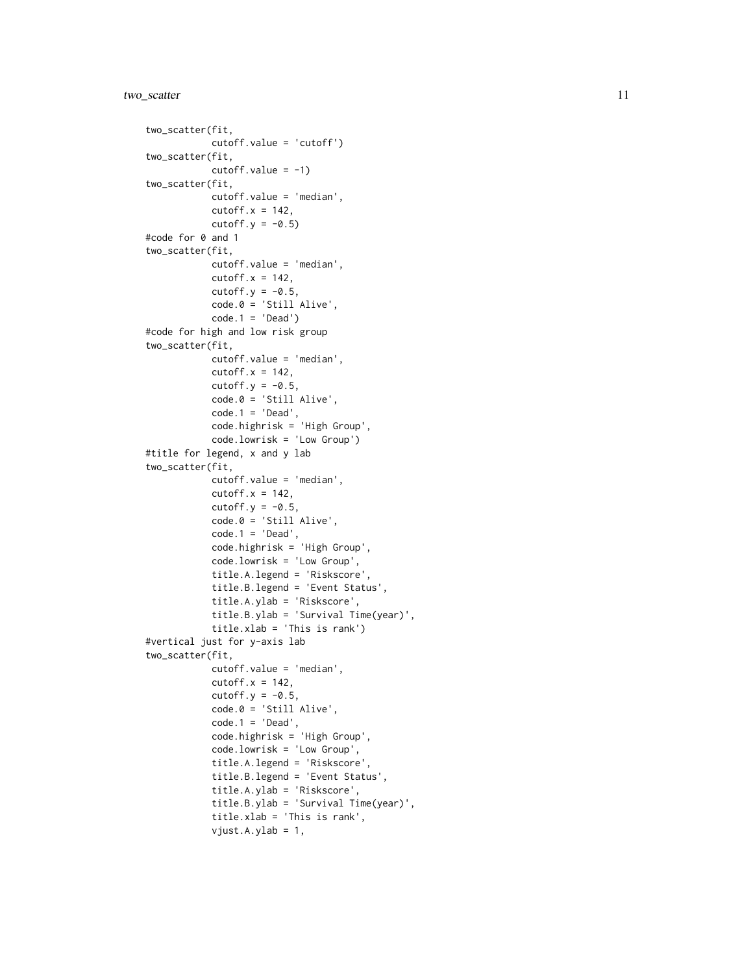#### two\_scatter 11

```
two_scatter(fit,
           cutoff.value = 'cutoff')
two_scatter(fit,
            cutoff.value = -1)two_scatter(fit,
            cutoff.value = 'median',
            cutoff.x = 142,
            cutoff.y = -0.5)
#code for 0 and 1
two_scatter(fit,
            cutoff.value = 'median',
            cutoff.x = 142,
            cutoff.y = -0.5,
            code.0 = 'Still'Alive',code.1 = 'Dead')#code for high and low risk group
two_scatter(fit,
            cutoff.value = 'median',
            cutoff.x = 142,cutoff.y = -0.5,
            code.0 = 'Still Alive',
            code.1 = 'Dead',code.highrisk = 'High Group',
            code.lowrisk = 'Low Group')
#title for legend, x and y lab
two_scatter(fit,
            cutoff.value = 'median',
            cutoff.x = 142,cutoff.y = -0.5,
            code.0 = 'Still Alive',
            code.1 = 'Dead',
            code.highrisk = 'High Group',
            code.lowrisk = 'Low Group',
            title.A.legend = 'Riskscore',
            title.B.legend = 'Event Status',
            title.A.ylab = 'Riskscore',
            title.B.ylab = 'Survival Time(year)',
            title.xlab = 'This is rank')
#vertical just for y-axis lab
two_scatter(fit,
            cutoff.value = 'median',
            cutoff.x = 142,cutoff.y = -0.5,
            code.0 = 'Still Alive',
            code.1 = 'Dead',code.highrisk = 'High Group',
            code.lowrisk = 'Low Group',
            title.A.legend = 'Riskscore',
            title.B.legend = 'Event Status',
            title.A.ylab = 'Riskscore',
            title.B.ylab = 'Survival Time(year)',
            title.xlab = 'This is rank',
            vjust.A.ylab = 1,
```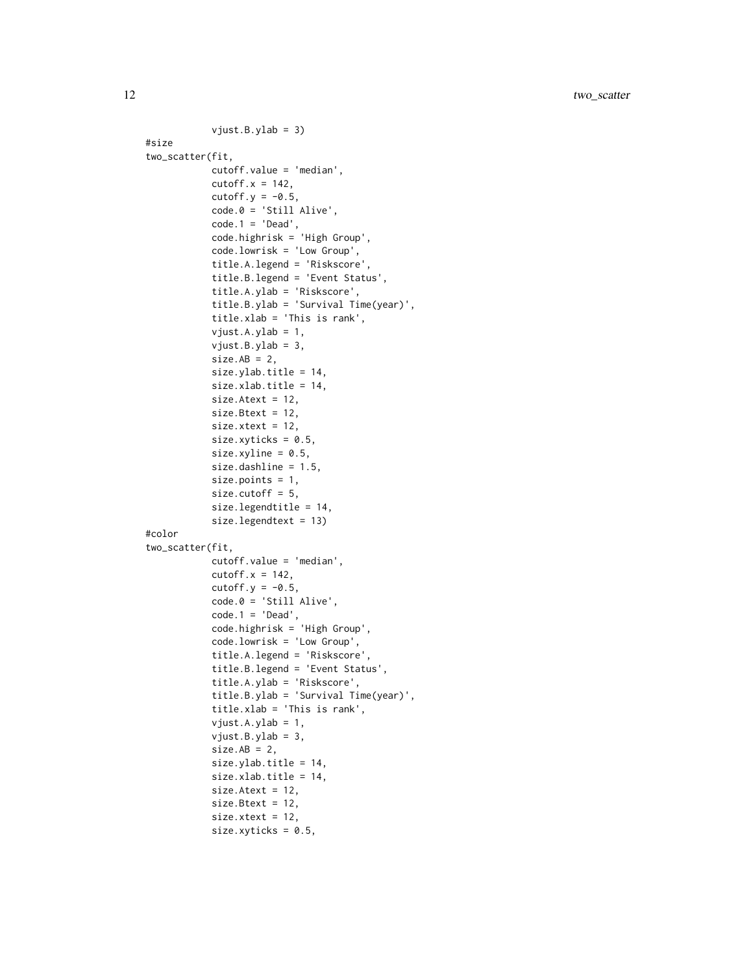```
vjust.B.ylab = 3)
#size
two_scatter(fit,
            cutoff.value = 'median',
            cutoff.x = 142,cutoff.y = -0.5,
            code.0 = 'Still Alive',
            code.1 = 'Dead',code.highrisk = 'High Group',
            code.lowrisk = 'Low Group',
            title.A.legend = 'Riskscore',
            title.B.legend = 'Event Status',
            title.A.ylab = 'Riskscore',
            title.B.ylab = 'Survival Time(year)',
            title.xlab = 'This is rank',
            vjust.A.ylab = 1,
            vjust.B.ylab = 3,
            size.AB = 2,size.ylab.title = 14,
            size.xlab.title = 14,
            size.Atext = 12,
            size.Btext = 12,
            size.xtext = 12,
            size.xyticks = 0.5,
            size.xyline = 0.5,
            size.dashline = 1.5,
            size.points = 1,
            size.cutoff = 5,
            size.legendtitle = 14,
            size.legendtext = 13)
#color
two_scatter(fit,
            cutoff.value = 'median',
            cutoff.x = 142,cutoff.y = -0.5,
            code.0 = 'Still Alive',
            code.1 = 'Dead',code.highrisk = 'High Group',
            code.lowrisk = 'Low Group',
            title.A.legend = 'Riskscore',
            title.B.legend = 'Event Status',
            title.A.ylab = 'Riskscore',
            title.B.ylab = 'Survival Time(year)',
            title.xlab = 'This is rank',
            vjust.A.ylab = 1,
            vjust.B.ylab = 3,
            size.AB = 2,
            size.ylab.title = 14,
            size.xlab.title = 14,
            size.Atext = 12,
            size.Btext = 12,
            size.xtext = 12,
            size.xyticks = 0.5,
```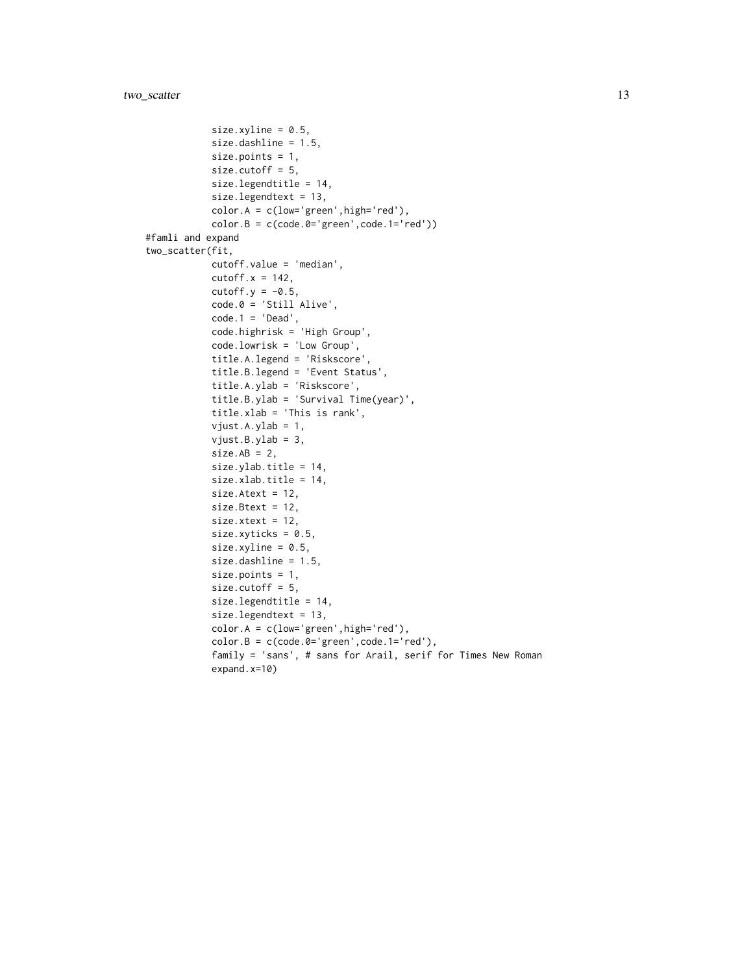```
size.xyline = 0.5,
            size.dashline = 1.5,
            size.points = 1,
            size.cutoff = 5,
            size.legendtitle = 14,
            size.legendtext = 13,
            color.A = c(low='green',high='red'),color.B = c(code.B = 'green', code.l = 'red'))#famli and expand
two_scatter(fit,
            cutoff.value = 'median',
            cutoff.x = 142,
            cutoff.y = -0.5,
            code.0 = 'Still'Alive',code.1 = 'Dead',code.highrisk = 'High Group',
            code.lowrisk = 'Low Group',
            title.A.legend = 'Riskscore',
            title.B.legend = 'Event Status',
            title.A.ylab = 'Riskscore',
            title.B.ylab = 'Survival Time(year)',
            title.xlab = 'This is rank',
            vjust.A.ylab = 1,
            vjust.B.ylab = 3,
            size.AB = 2,
            size.ylab.title = 14,
            size.xlab.title = 14,
            size.Atext = 12,
            size.Btext = 12,
            size.xtext = 12,
            size.xyticks = 0.5,
            size.xyline = 0.5,
            size.dashline = 1.5,
            size.points = 1,
            size.cutoff = 5,
            size.legendtitle = 14,
            size.legendtext = 13,
            color.A = c(low='green',high='red'),
            color.B = c(code.B='green',code.l='red'),family = 'sans', # sans for Arail, serif for Times New Roman
            expand.x=10)
```